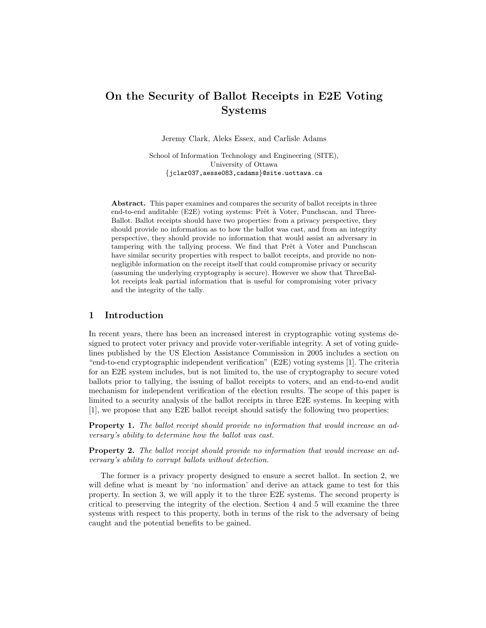# On the Security of Ballot Receipts in E2E Voting Systems

Jeremy Clark, Aleks Essex, and Carlisle Adams

School of Information Technology and Engineering (SITE), University of Ottawa {jclar037,aesse083,cadams}@site.uottawa.ca

Abstract. This paper examines and compares the security of ballot receipts in three end-to-end auditable  $(E2E)$  voting systems: Prêt à Voter, Punchscan, and Three-Ballot. Ballot receipts should have two properties: from a privacy perspective, they should provide no information as to how the ballot was cast, and from an integrity perspective, they should provide no information that would assist an adversary in tampering with the tallying process. We find that Prêt à Voter and Punchscan have similar security properties with respect to ballot receipts, and provide no nonnegligible information on the receipt itself that could compromise privacy or security (assuming the underlying cryptography is secure). However we show that ThreeBallot receipts leak partial information that is useful for compromising voter privacy and the integrity of the tally.

# 1 Introduction

In recent years, there has been an increased interest in cryptographic voting systems designed to protect voter privacy and provide voter-verifiable integrity. A set of voting guidelines published by the US Election Assistance Commission in 2005 includes a section on "end-to-end cryptographic independent verification" (E2E) voting systems [1]. The criteria for an E2E system includes, but is not limited to, the use of cryptography to secure voted ballots prior to tallying, the issuing of ballot receipts to voters, and an end-to-end audit mechanism for independent verification of the election results. The scope of this paper is limited to a security analysis of the ballot receipts in three E2E systems. In keeping with [1], we propose that any E2E ballot receipt should satisfy the following two properties:

**Property 1.** The ballot receipt should provide no information that would increase an adversary's ability to determine how the ballot was cast.

**Property 2.** The ballot receipt should provide no information that would increase an adversary's ability to corrupt ballots without detection.

The former is a privacy property designed to ensure a secret ballot. In section 2, we will define what is meant by 'no information' and derive an attack game to test for this property. In section 3, we will apply it to the three E2E systems. The second property is critical to preserving the integrity of the election. Section 4 and 5 will examine the three systems with respect to this property, both in terms of the risk to the adversary of being caught and the potential benefits to be gained.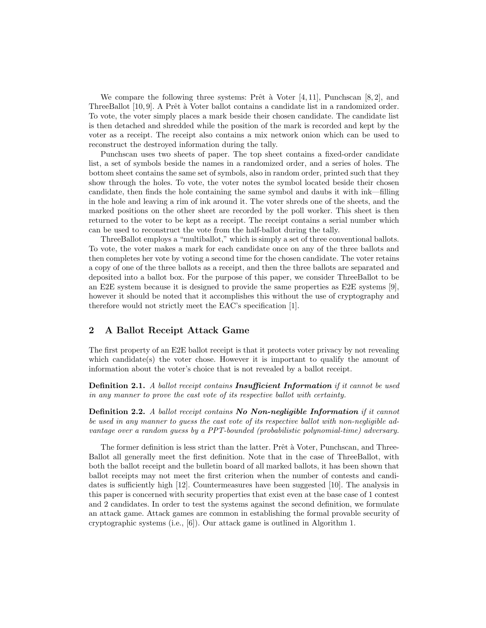We compare the following three systems: Prêt à Voter  $[4, 11]$ , Punchscan  $[8, 2]$ , and ThreeBallot  $[10, 9]$ . A Prêt à Voter ballot contains a candidate list in a randomized order. To vote, the voter simply places a mark beside their chosen candidate. The candidate list is then detached and shredded while the position of the mark is recorded and kept by the voter as a receipt. The receipt also contains a mix network onion which can be used to reconstruct the destroyed information during the tally.

Punchscan uses two sheets of paper. The top sheet contains a fixed-order candidate list, a set of symbols beside the names in a randomized order, and a series of holes. The bottom sheet contains the same set of symbols, also in random order, printed such that they show through the holes. To vote, the voter notes the symbol located beside their chosen candidate, then finds the hole containing the same symbol and daubs it with ink—filling in the hole and leaving a rim of ink around it. The voter shreds one of the sheets, and the marked positions on the other sheet are recorded by the poll worker. This sheet is then returned to the voter to be kept as a receipt. The receipt contains a serial number which can be used to reconstruct the vote from the half-ballot during the tally.

ThreeBallot employs a "multiballot," which is simply a set of three conventional ballots. To vote, the voter makes a mark for each candidate once on any of the three ballots and then completes her vote by voting a second time for the chosen candidate. The voter retains a copy of one of the three ballots as a receipt, and then the three ballots are separated and deposited into a ballot box. For the purpose of this paper, we consider ThreeBallot to be an E2E system because it is designed to provide the same properties as E2E systems [9], however it should be noted that it accomplishes this without the use of cryptography and therefore would not strictly meet the EAC's specification [1].

## 2 A Ballot Receipt Attack Game

The first property of an E2E ballot receipt is that it protects voter privacy by not revealing which candidate(s) the voter chose. However it is important to qualify the amount of information about the voter's choice that is not revealed by a ballot receipt.

**Definition 2.1.** A ballot receipt contains **Insufficient Information** if it cannot be used in any manner to prove the cast vote of its respective ballot with certainty.

**Definition 2.2.** A ballot receipt contains No Non-negligible Information if it cannot be used in any manner to guess the cast vote of its respective ballot with non-negligible advantage over a random guess by a PPT-bounded (probabilistic polynomial-time) adversary.

The former definition is less strict than the latter. Prêt à Voter, Punchscan, and Three-Ballot all generally meet the first definition. Note that in the case of ThreeBallot, with both the ballot receipt and the bulletin board of all marked ballots, it has been shown that ballot receipts may not meet the first criterion when the number of contests and candidates is sufficiently high [12]. Countermeasures have been suggested [10]. The analysis in this paper is concerned with security properties that exist even at the base case of 1 contest and 2 candidates. In order to test the systems against the second definition, we formulate an attack game. Attack games are common in establishing the formal provable security of cryptographic systems (i.e., [6]). Our attack game is outlined in Algorithm 1.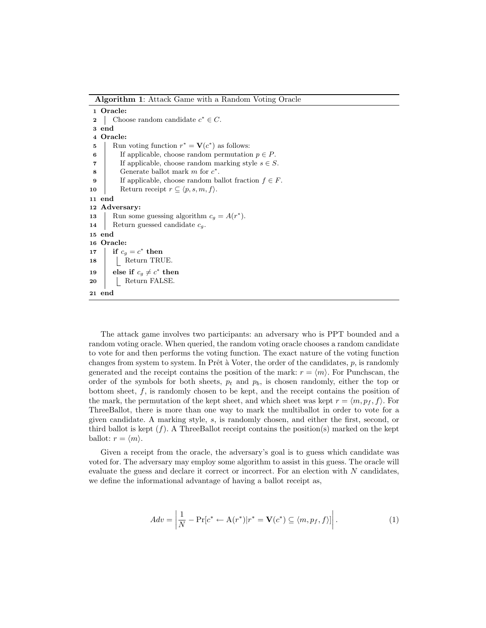Algorithm 1: Attack Game with a Random Voting Oracle

1 Oracle: 2 | Choose random candidate  $c^* \in C$ . 3 end 4 Oracle: 5 | Run voting function  $r^* = V(c^*)$  as follows: 6 If applicable, choose random permutation  $p \in P$ . 7 If applicable, choose random marking style  $s \in S$ . 8 Generate ballot mark m for  $c^*$ . 9 If applicable, choose random ballot fraction  $f \in F$ . 10 Return receipt  $r \subseteq \langle p, s, m, f \rangle$ . 11 end 12 Adversary: 13 | Run some guessing algorithm  $c_g = A(r^*)$ . 14 | Return guessed candidate  $c_g$ . 15 end 16 Oracle: 17  $\int$  if  $c_g = c^*$  then 18 | Return TRUE. 19 else if  $c_g \neq c^*$  then 20 | Return FALSE. 21 end

The attack game involves two participants: an adversary who is PPT bounded and a random voting oracle. When queried, the random voting oracle chooses a random candidate to vote for and then performs the voting function. The exact nature of the voting function changes from system to system. In Prêt à Voter, the order of the candidates,  $p$ , is randomly generated and the receipt contains the position of the mark:  $r = \langle m \rangle$ . For Punchscan, the order of the symbols for both sheets,  $p_t$  and  $p_b$ , is chosen randomly, either the top or bottom sheet, f, is randomly chosen to be kept, and the receipt contains the position of the mark, the permutation of the kept sheet, and which sheet was kept  $r = \langle m, p_f, f \rangle$ . For ThreeBallot, there is more than one way to mark the multiballot in order to vote for a given candidate. A marking style, s, is randomly chosen, and either the first, second, or third ballot is kept  $(f)$ . A ThreeBallot receipt contains the position(s) marked on the kept ballot:  $r = \langle m \rangle$ .

Given a receipt from the oracle, the adversary's goal is to guess which candidate was voted for. The adversary may employ some algorithm to assist in this guess. The oracle will evaluate the guess and declare it correct or incorrect. For an election with  $N$  candidates, we define the informational advantage of having a ballot receipt as,

$$
Adv = \left| \frac{1}{N} - \Pr[c^* \leftarrow A(r^*) | r^* = \mathbf{V}(c^*) \subseteq \langle m, p_f, f \rangle] \right|.
$$
 (1)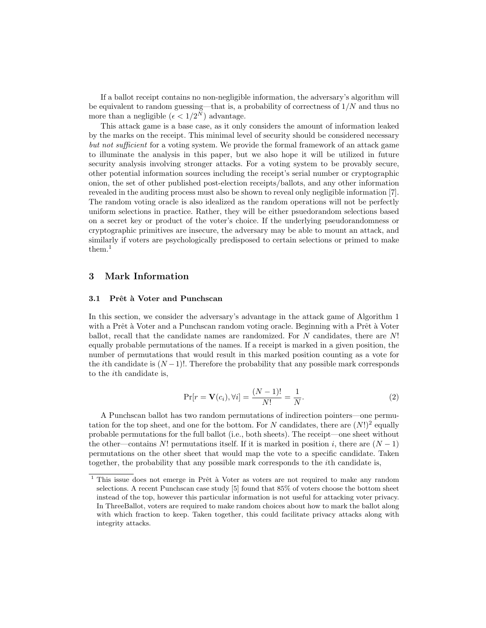If a ballot receipt contains no non-negligible information, the adversary's algorithm will be equivalent to random guessing—that is, a probability of correctness of  $1/N$  and thus no more than a negligible  $(\epsilon < 1/2^N)$  advantage.

This attack game is a base case, as it only considers the amount of information leaked by the marks on the receipt. This minimal level of security should be considered necessary but not sufficient for a voting system. We provide the formal framework of an attack game to illuminate the analysis in this paper, but we also hope it will be utilized in future security analysis involving stronger attacks. For a voting system to be provably secure, other potential information sources including the receipt's serial number or cryptographic onion, the set of other published post-election receipts/ballots, and any other information revealed in the auditing process must also be shown to reveal only negligible information [7]. The random voting oracle is also idealized as the random operations will not be perfectly uniform selections in practice. Rather, they will be either psuedorandom selections based on a secret key or product of the voter's choice. If the underlying pseudorandomness or cryptographic primitives are insecure, the adversary may be able to mount an attack, and similarly if voters are psychologically predisposed to certain selections or primed to make them.<sup>1</sup>

# 3 Mark Information

#### 3.1 Prêt à Voter and Punchscan

In this section, we consider the adversary's advantage in the attack game of Algorithm 1 with a Prêt à Voter and a Punchscan random voting oracle. Beginning with a Prêt à Voter ballot, recall that the candidate names are randomized. For  $N$  candidates, there are  $N!$ equally probable permutations of the names. If a receipt is marked in a given position, the number of permutations that would result in this marked position counting as a vote for the *i*th candidate is  $(N-1)!$ . Therefore the probability that any possible mark corresponds to the ith candidate is,

$$
\Pr[r = \mathbf{V}(c_i), \forall i] = \frac{(N-1)!}{N!} = \frac{1}{N}.
$$
\n(2)

A Punchscan ballot has two random permutations of indirection pointers—one permutation for the top sheet, and one for the bottom. For N candidates, there are  $(N!)^2$  equally probable permutations for the full ballot (i.e., both sheets). The receipt—one sheet without the other—contains N! permutations itself. If it is marked in position i, there are  $(N-1)$ permutations on the other sheet that would map the vote to a specific candidate. Taken together, the probability that any possible mark corresponds to the ith candidate is,

This issue does not emerge in Prêt à Voter as voters are not required to make any random selections. A recent Punchscan case study [5] found that 85% of voters choose the bottom sheet instead of the top, however this particular information is not useful for attacking voter privacy. In ThreeBallot, voters are required to make random choices about how to mark the ballot along with which fraction to keep. Taken together, this could facilitate privacy attacks along with integrity attacks.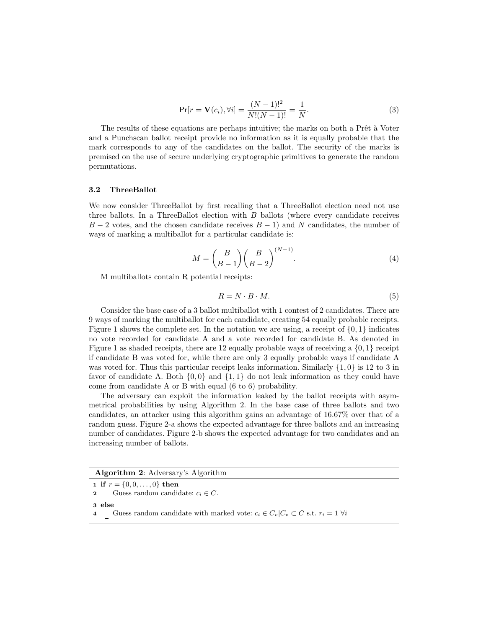$$
\Pr[r = \mathbf{V}(c_i), \forall i] = \frac{(N-1)!^2}{N!(N-1)!} = \frac{1}{N}.
$$
\n(3)

The results of these equations are perhaps intuitive; the marks on both a Prêt à Voter and a Punchscan ballot receipt provide no information as it is equally probable that the mark corresponds to any of the candidates on the ballot. The security of the marks is premised on the use of secure underlying cryptographic primitives to generate the random permutations.

#### 3.2 ThreeBallot

We now consider ThreeBallot by first recalling that a ThreeBallot election need not use three ballots. In a ThreeBallot election with  $B$  ballots (where every candidate receives  $B-2$  votes, and the chosen candidate receives  $B-1$ ) and N candidates, the number of ways of marking a multiballot for a particular candidate is:

$$
M = \binom{B}{B-1} \binom{B}{B-2}^{(N-1)}.
$$
\n
$$
(4)
$$

M multiballots contain R potential receipts:

$$
R = N \cdot B \cdot M. \tag{5}
$$

Consider the base case of a 3 ballot multiballot with 1 contest of 2 candidates. There are 9 ways of marking the multiballot for each candidate, creating 54 equally probable receipts. Figure 1 shows the complete set. In the notation we are using, a receipt of  $\{0, 1\}$  indicates no vote recorded for candidate A and a vote recorded for candidate B. As denoted in Figure 1 as shaded receipts, there are 12 equally probable ways of receiving a  $\{0, 1\}$  receipt if candidate B was voted for, while there are only 3 equally probable ways if candidate A was voted for. Thus this particular receipt leaks information. Similarly  $\{1, 0\}$  is 12 to 3 in favor of candidate A. Both  $\{0, 0\}$  and  $\{1, 1\}$  do not leak information as they could have come from candidate A or B with equal (6 to 6) probability.

The adversary can exploit the information leaked by the ballot receipts with asymmetrical probabilities by using Algorithm 2. In the base case of three ballots and two candidates, an attacker using this algorithm gains an advantage of 16.67% over that of a random guess. Figure 2-a shows the expected advantage for three ballots and an increasing number of candidates. Figure 2-b shows the expected advantage for two candidates and an increasing number of ballots.

### Algorithm 2: Adversary's Algorithm

- 1 if  $r = \{0, 0, \ldots, 0\}$  then
- 2 Guess random candidate:  $c_i \in C$ .

3 else

4 Guess random candidate with marked vote:  $c_i \in C_v | C_v \subset C$  s.t.  $r_i = 1 \forall i$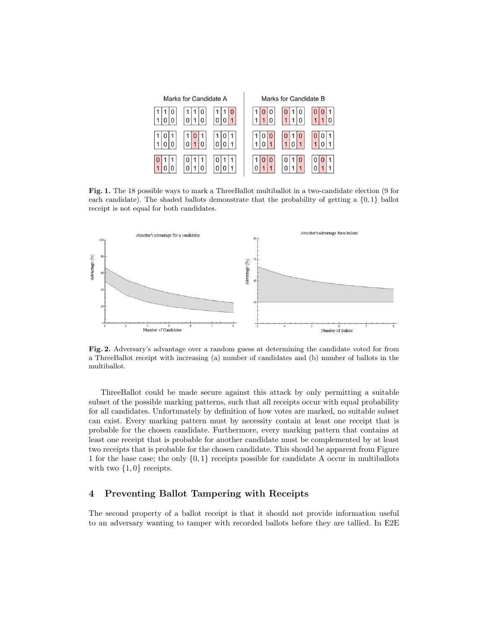

Fig. 1. The 18 possible ways to mark a ThreeBallot multiballot in a two-candidate election (9 for each candidate). The shaded ballots demonstrate that the probability of getting a  $\{0, 1\}$  ballot receipt is not equal for both candidates.



Fig. 2. Adversary's advantage over a random guess at determining the candidate voted for from a ThreeBallot receipt with increasing (a) number of candidates and (b) number of ballots in the multiballot.

ThreeBallot could be made secure against this attack by only permitting a suitable subset of the possible marking patterns, such that all receipts occur with equal probability for all candidates. Unfortunately by definition of how votes are marked, no suitable subset can exist. Every marking pattern must by necessity contain at least one receipt that is probable for the chosen candidate. Furthermore, every marking pattern that contains at least one receipt that is probable for another candidate must be complemented by at least two receipts that is probable for the chosen candidate. This should be apparent from Figure 1 for the base case; the only  $\{0,1\}$  receipts possible for candidate A occur in multiballots with two  $\{1,0\}$  receipts.

# 4 Preventing Ballot Tampering with Receipts

The second property of a ballot receipt is that it should not provide information useful to an adversary wanting to tamper with recorded ballots before they are tallied. In E2E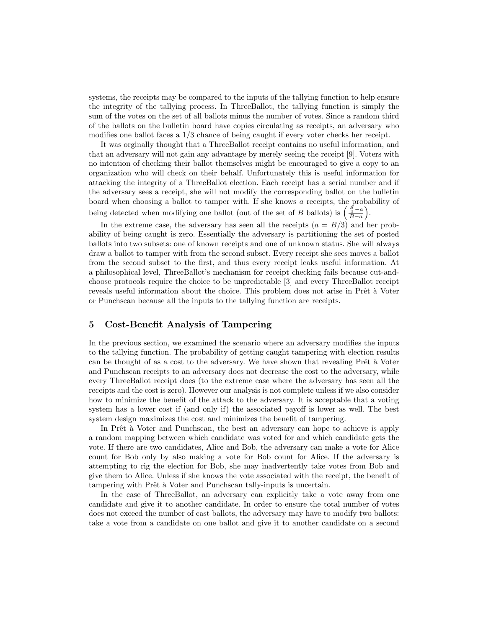systems, the receipts may be compared to the inputs of the tallying function to help ensure the integrity of the tallying process. In ThreeBallot, the tallying function is simply the sum of the votes on the set of all ballots minus the number of votes. Since a random third of the ballots on the bulletin board have copies circulating as receipts, an adversary who modifies one ballot faces a 1/3 chance of being caught if every voter checks her receipt.

It was orginally thought that a ThreeBallot receipt contains no useful information, and that an adversary will not gain any advantage by merely seeing the receipt [9]. Voters with no intention of checking their ballot themselves might be encouraged to give a copy to an organization who will check on their behalf. Unfortunately this is useful information for attacking the integrity of a ThreeBallot election. Each receipt has a serial number and if the adversary sees a receipt, she will not modify the corresponding ballot on the bulletin board when choosing a ballot to tamper with. If she knows a receipts, the probability of being detected when modifying one ballot (out of the set of B ballots) is  $\left(\frac{\frac{B}{3}-a}{B-a}\right)$ .

In the extreme case, the adversary has seen all the receipts  $(a = B/3)$  and her probability of being caught is zero. Essentially the adversary is partitioning the set of posted ballots into two subsets: one of known receipts and one of unknown status. She will always draw a ballot to tamper with from the second subset. Every receipt she sees moves a ballot from the second subset to the first, and thus every receipt leaks useful information. At a philosophical level, ThreeBallot's mechanism for receipt checking fails because cut-andchoose protocols require the choice to be unpredictable [3] and every ThreeBallot receipt reveals useful information about the choice. This problem does not arise in Prêt à Voter or Punchscan because all the inputs to the tallying function are receipts.

# 5 Cost-Benefit Analysis of Tampering

In the previous section, we examined the scenario where an adversary modifies the inputs to the tallying function. The probability of getting caught tampering with election results can be thought of as a cost to the adversary. We have shown that revealing Prêt à Voter and Punchscan receipts to an adversary does not decrease the cost to the adversary, while every ThreeBallot receipt does (to the extreme case where the adversary has seen all the receipts and the cost is zero). However our analysis is not complete unless if we also consider how to minimize the benefit of the attack to the adversary. It is acceptable that a voting system has a lower cost if (and only if) the associated payoff is lower as well. The best system design maximizes the cost and minimizes the benefit of tampering.

In Prêt à Voter and Punchscan, the best an adversary can hope to achieve is apply a random mapping between which candidate was voted for and which candidate gets the vote. If there are two candidates, Alice and Bob, the adversary can make a vote for Alice count for Bob only by also making a vote for Bob count for Alice. If the adversary is attempting to rig the election for Bob, she may inadvertently take votes from Bob and give them to Alice. Unless if she knows the vote associated with the receipt, the benefit of tampering with Prêt à Voter and Punchscan tally-inputs is uncertain.

In the case of ThreeBallot, an adversary can explicitly take a vote away from one candidate and give it to another candidate. In order to ensure the total number of votes does not exceed the number of cast ballots, the adversary may have to modify two ballots: take a vote from a candidate on one ballot and give it to another candidate on a second